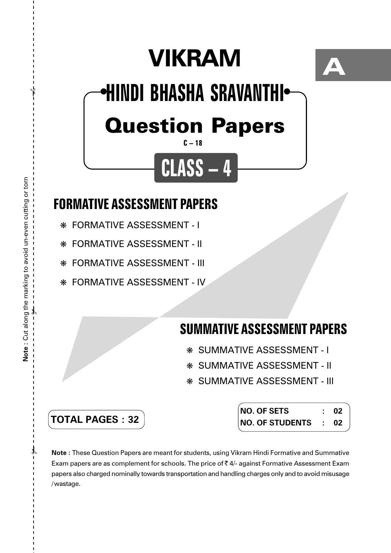# **VIKRAM**



## Question Papers **HINDI BHASHA SRAVANTHI** ● ●

### **C – 18**

**CLASS – 4**

## **FORMATIVE ASSESSMENT PAPERS**

- ❋ FORMATIVE ASSESSMENT I
- ❋ FORMATIVE ASSESSMENT II
- ❋ FORMATIVE ASSESSMENT III
- ❋ FORMATIVE ASSESSMENT IV

## **SUMMATIVE ASSESSMENT PAPERS**

- ❋ SUMMATIVE ASSESSMENT I
- ❋ SUMMATIVE ASSESSMENT II
- ❋ SUMMATIVE ASSESSMENT III

**TOTAL PAGES : 32**

| <b>NO. OF SETS</b>     |                    | 02 |
|------------------------|--------------------|----|
| <b>NO. OF STUDENTS</b> | $\sim$ 1.000 $\pm$ | 02 |

**Note :** These Question Papers are meant for students, using Vikram Hindi Formative and Summative Exam papers are as complement for schools. The price of  $\bar{\tau}$  4/- against Formative Assessment Exam papers also charged nominally towards transportation and handling charges only and to avoid misusage /wastage.

 $\lambda$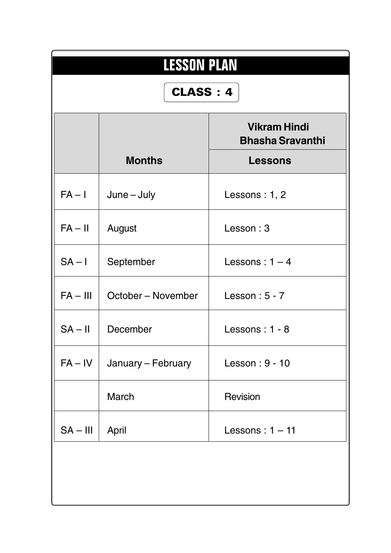| <b>LESSON PLAN</b><br>CLASS: 4 |                    |                                                                  |  |  |  |
|--------------------------------|--------------------|------------------------------------------------------------------|--|--|--|
|                                | <b>Months</b>      | <b>Vikram Hindi</b><br><b>Bhasha Sravanthi</b><br><b>Lessons</b> |  |  |  |
| $FA - I$                       | $June - July$      | Lessons: $1, 2$                                                  |  |  |  |
| $FA - II$                      | August             | Lesson: 3                                                        |  |  |  |
| $SA - I$                       | September          | Lessons: $1 - 4$                                                 |  |  |  |
| $FA - III$                     | October – November | Lesson: $5 - 7$                                                  |  |  |  |
| $SA - II$                      | December           | Lessons: 1 - 8                                                   |  |  |  |
| $FA - IV$                      | January – February | Lesson: 9 - 10                                                   |  |  |  |
|                                | March              | <b>Revision</b>                                                  |  |  |  |
| $SA - III$                     | April              | Lessons: $1 - 11$                                                |  |  |  |
|                                |                    |                                                                  |  |  |  |
|                                |                    |                                                                  |  |  |  |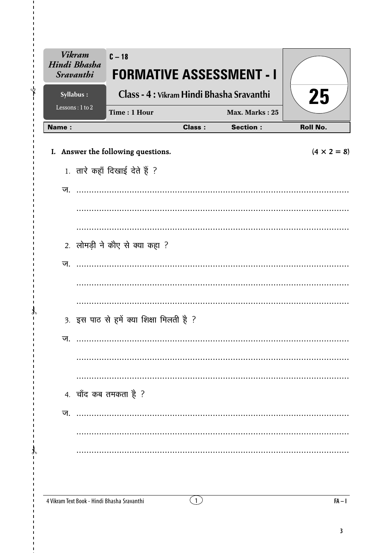| <b>Vikram</b><br>Hindi Bhasha<br><b>Sravanthi</b> | $C-18$<br><b>FORMATIVE ASSESSMENT - I</b>   |                                    |                 |                    |
|---------------------------------------------------|---------------------------------------------|------------------------------------|-----------------|--------------------|
| Syllabus:                                         | Class - 4 : Vikram Hindi Bhasha Sravanthi   |                                    |                 | 25                 |
| Lessons: 1 to 2                                   | Time: 1 Hour                                |                                    | Max. Marks: 25  |                    |
| Name:                                             |                                             | <b>Class:</b>                      | <b>Section:</b> | <b>Roll No.</b>    |
|                                                   | I. Answer the following questions.          |                                    |                 | $(4 \times 2 = 8)$ |
|                                                   | 1. तारे कहाँ दिखाई देते हैं ?               |                                    |                 |                    |
| ज.                                                |                                             |                                    |                 |                    |
|                                                   |                                             |                                    |                 |                    |
|                                                   |                                             |                                    |                 |                    |
|                                                   | 2. लोमड़ी ने कौए से क्या कहा ?              |                                    |                 |                    |
| ज.                                                |                                             |                                    |                 |                    |
|                                                   |                                             |                                    |                 |                    |
|                                                   |                                             |                                    |                 |                    |
|                                                   | 3. इस पाठ से हमें क्या शिक्षा मिलती है ?    |                                    |                 |                    |
| ज.                                                |                                             |                                    |                 |                    |
|                                                   |                                             |                                    |                 |                    |
|                                                   |                                             |                                    |                 |                    |
|                                                   | 4. चाँद कब तमकता है ?                       |                                    |                 |                    |
| ज.                                                |                                             |                                    |                 |                    |
|                                                   |                                             |                                    |                 |                    |
|                                                   |                                             |                                    |                 |                    |
|                                                   |                                             |                                    |                 |                    |
|                                                   |                                             |                                    |                 |                    |
|                                                   | 4 Vikram Text Book - Hindi Bhasha Sravanthi | $\left\lfloor \cdot \right\rfloor$ |                 | $FA - I$           |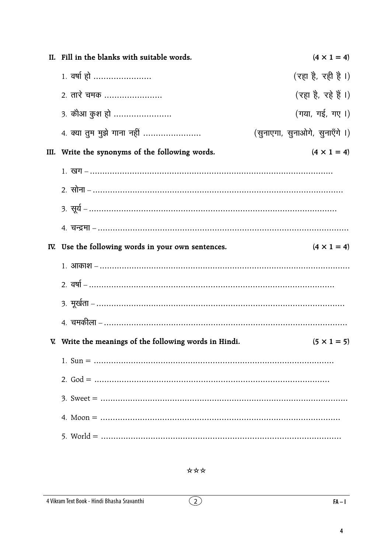| II. Fill in the blanks with suitable words.            | $(4 \times 1 = 4)$             |
|--------------------------------------------------------|--------------------------------|
| 1. वर्षा हो                                            | (रहा है, रही है।)              |
| 2. तारे चमक                                            | (रहा है, रहे हैं ।)            |
| <u>3. कौआ कुश हो </u>                                  | (गया, गई, गए।)                 |
| 4. क्या तुम मुझे गाना नहीं                             | (सुनाएगा, सुनाओगे, सुनाएँगे ।) |
| III. Write the synonyms of the following words.        | $(4 \times 1 = 4)$             |
|                                                        |                                |
|                                                        |                                |
|                                                        |                                |
|                                                        |                                |
| IV. Use the following words in your own sentences.     | $(4 \times 1 = 4)$             |
|                                                        |                                |
|                                                        |                                |
|                                                        |                                |
|                                                        |                                |
| V. Write the meanings of the following words in Hindi. | $(5 \times 1 = 5)$             |
|                                                        |                                |
|                                                        |                                |
|                                                        |                                |
|                                                        |                                |
|                                                        |                                |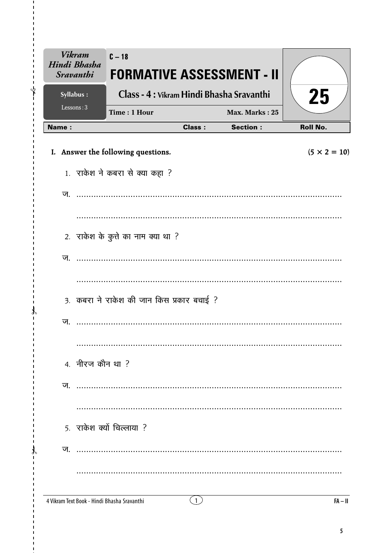| <b>Vikram</b><br>Hindi Bhasha<br><b>Sravanthi</b> | $C - 18$<br><b>FORMATIVE ASSESSMENT - II</b> |               |                 |                     |
|---------------------------------------------------|----------------------------------------------|---------------|-----------------|---------------------|
| Syllabus:                                         | Class - 4 : Vikram Hindi Bhasha Sravanthi    |               |                 | 25                  |
| Lessons: 3                                        | Time: 1 Hour                                 |               | Max. Marks: 25  |                     |
| <b>Name:</b>                                      |                                              | <b>Class:</b> | <b>Section:</b> | <b>Roll No.</b>     |
|                                                   | I. Answer the following questions.           |               |                 | $(5 \times 2 = 10)$ |
|                                                   | 1. राकेश ने कबरा से क्या कहा ?               |               |                 |                     |
| ज.                                                |                                              |               |                 |                     |
|                                                   |                                              |               |                 |                     |
|                                                   | 2. राकेश के कुत्ते का नाम क्या था ?          |               |                 |                     |
| ज.                                                |                                              |               |                 |                     |
|                                                   |                                              |               |                 |                     |
|                                                   | 3. कबरा ने राकेश की जान किस प्रकार बचाई ?    |               |                 |                     |
| ज.                                                |                                              |               |                 |                     |
|                                                   |                                              |               |                 |                     |
|                                                   | 4. नीरज कौन था ?                             |               |                 |                     |
| ज                                                 |                                              |               |                 |                     |
|                                                   |                                              |               |                 |                     |
|                                                   | 5. राकेश क्यों चिल्लाया ?                    |               |                 |                     |
| ज                                                 |                                              |               |                 |                     |
|                                                   |                                              |               |                 |                     |
|                                                   | 4 Vikram Text Book - Hindi Bhasha Sravanthi  | (1)           |                 | $FA - II$           |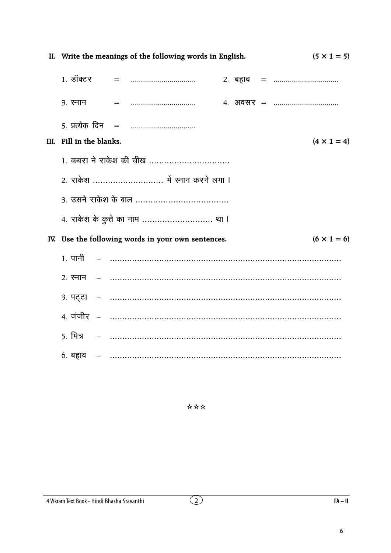| II. Write the meanings of the following words in English.<br>$(5 \times 1 = 5)$ |  |  |                                                                                                                                                                                                                                                                                                                                                                                    |                                                    |  |  |  |                                           |
|---------------------------------------------------------------------------------|--|--|------------------------------------------------------------------------------------------------------------------------------------------------------------------------------------------------------------------------------------------------------------------------------------------------------------------------------------------------------------------------------------|----------------------------------------------------|--|--|--|-------------------------------------------|
|                                                                                 |  |  |                                                                                                                                                                                                                                                                                                                                                                                    |                                                    |  |  |  |                                           |
|                                                                                 |  |  | $3. \overline{3}$ $\overline{5}$ $\overline{7}$ $\overline{5}$ $\overline{5}$ $\overline{5}$ $\overline{5}$ $\overline{5}$ $\overline{5}$ $\overline{5}$ $\overline{5}$ $\overline{5}$ $\overline{5}$ $\overline{5}$ $\overline{5}$ $\overline{5}$ $\overline{5}$ $\overline{5}$ $\overline{5}$ $\overline{5}$ $\overline{5}$ $\overline{5}$ $\overline{5}$ $\overline{5}$ $\over$ |                                                    |  |  |  |                                           |
|                                                                                 |  |  |                                                                                                                                                                                                                                                                                                                                                                                    |                                                    |  |  |  |                                           |
| III. Fill in the blanks.                                                        |  |  |                                                                                                                                                                                                                                                                                                                                                                                    |                                                    |  |  |  | $(4 \times 1 = 4)$                        |
|                                                                                 |  |  |                                                                                                                                                                                                                                                                                                                                                                                    | 1. कबरा ने राकेश की चीख                            |  |  |  |                                           |
|                                                                                 |  |  |                                                                                                                                                                                                                                                                                                                                                                                    | 2. राकेश  में रनान करने लगा ।                      |  |  |  |                                           |
|                                                                                 |  |  |                                                                                                                                                                                                                                                                                                                                                                                    |                                                    |  |  |  |                                           |
|                                                                                 |  |  |                                                                                                                                                                                                                                                                                                                                                                                    | 4. राकेश के कुत्ते का नाम  था ।                    |  |  |  |                                           |
|                                                                                 |  |  |                                                                                                                                                                                                                                                                                                                                                                                    | IV. Use the following words in your own sentences. |  |  |  | $(6 \times 1 = 6)$                        |
|                                                                                 |  |  |                                                                                                                                                                                                                                                                                                                                                                                    |                                                    |  |  |  |                                           |
|                                                                                 |  |  |                                                                                                                                                                                                                                                                                                                                                                                    |                                                    |  |  |  |                                           |
|                                                                                 |  |  |                                                                                                                                                                                                                                                                                                                                                                                    |                                                    |  |  |  | 3. पट्टा – ……………………………………………………………………………… |
|                                                                                 |  |  |                                                                                                                                                                                                                                                                                                                                                                                    |                                                    |  |  |  |                                           |
|                                                                                 |  |  |                                                                                                                                                                                                                                                                                                                                                                                    |                                                    |  |  |  |                                           |
|                                                                                 |  |  |                                                                                                                                                                                                                                                                                                                                                                                    |                                                    |  |  |  | 6. बहाव – ………………………………………………………………………………… |

\*\*\*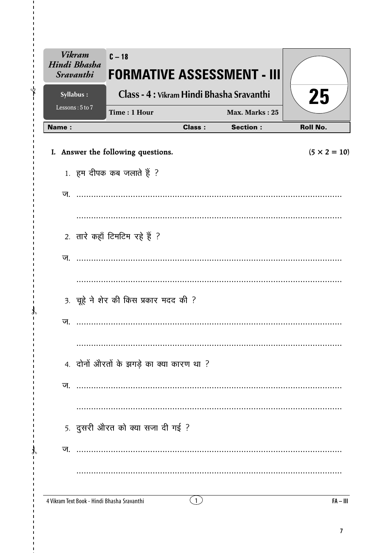| <b>Vikram</b><br>Hindi Bhasha<br><b>Sravanthi</b> | $C - 18$                                    |               | <b>FORMATIVE ASSESSMENT - III</b>         |                     |
|---------------------------------------------------|---------------------------------------------|---------------|-------------------------------------------|---------------------|
| Syllabus:                                         |                                             |               | Class - 4 : Vikram Hindi Bhasha Sravanthi | 25                  |
| Lessons: 5 to 7                                   | Time: 1 Hour                                |               | Max. Marks: 25                            |                     |
| <b>Name:</b>                                      |                                             | <b>Class:</b> | <b>Section:</b>                           | <b>Roll No.</b>     |
|                                                   | I. Answer the following questions.          |               |                                           | $(5 \times 2 = 10)$ |
|                                                   | 1. हम दीपक कब जलाते हैं ?                   |               |                                           |                     |
| ज                                                 |                                             |               |                                           |                     |
|                                                   |                                             |               |                                           |                     |
|                                                   | 2. तारे कहाँ टिमटिम रहे हैं ?               |               |                                           |                     |
| ज.                                                |                                             |               |                                           |                     |
|                                                   |                                             |               |                                           |                     |
|                                                   | 3. चूहे ने शेर की किस प्रकार मदद की ?       |               |                                           |                     |
| ज.                                                |                                             |               |                                           |                     |
|                                                   |                                             |               |                                           |                     |
|                                                   | 4. दोनों औरतों के झगड़े का क्या कारण था ?   |               |                                           |                     |
| ज.                                                |                                             |               |                                           |                     |
|                                                   |                                             |               |                                           |                     |
|                                                   | 5. दुसरी औरत को क्या सजा दी गई ?            |               |                                           |                     |
| ज.                                                |                                             |               |                                           |                     |
|                                                   |                                             |               |                                           |                     |
|                                                   | 4 Vikram Text Book - Hindi Bhasha Sravanthi | (1)           |                                           | $FA - III$          |

 $\mathbf{I}$ ⊁่

 $\mathcal{X}$  $\mathbf{I}$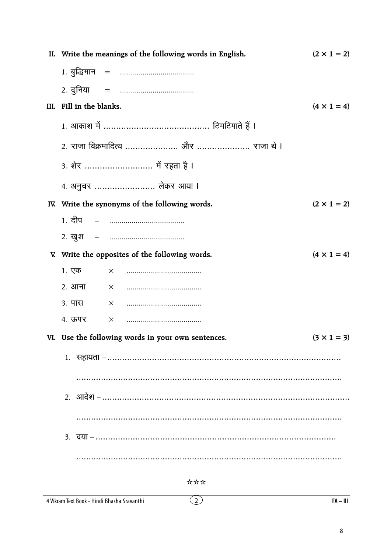| II. Write the meanings of the following words in English. | $(2 \times 1 = 2)$ |
|-----------------------------------------------------------|--------------------|
|                                                           |                    |
|                                                           |                    |
| III. Fill in the blanks.                                  | $(4 \times 1 = 4)$ |
|                                                           |                    |
|                                                           |                    |
| 3. शेर  में रहता है I                                     |                    |
| 4. अनुचर  लेकर आया ।                                      |                    |
| IV. Write the synonyms of the following words.            | $(2 \times 1 = 2)$ |
| <u> 1. दीप     –     …………………………………</u>                    |                    |
|                                                           |                    |
| V. Write the opposites of the following words.            | $(4 \times 1 = 4)$ |
| 1. एक                                                     |                    |
| 2. आना                                                    |                    |
| ३. पास                                                    |                    |
| 4. ऊपर                                                    |                    |
| VI. Use the following words in your own sentences.        | $(3 \times 1 = 3)$ |
|                                                           |                    |
|                                                           |                    |
|                                                           |                    |
|                                                           |                    |
|                                                           |                    |
|                                                           |                    |

 $\overline{2}$ 

#### 4 Vikram Text Book - Hindi Bhasha Sravanthi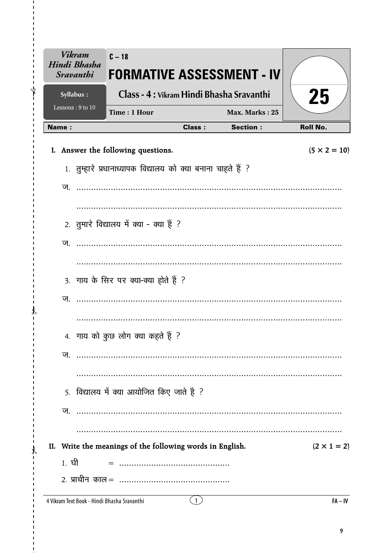| <b>Vikram</b><br>Hindi Bhasha<br><b>Sravanthi</b> | $C - 18$<br><b>FORMATIVE ASSESSMENT - IV</b>                 |               |                 |                     |
|---------------------------------------------------|--------------------------------------------------------------|---------------|-----------------|---------------------|
| Syllabus:                                         | Class - 4 : Vikram Hindi Bhasha Sravanthi                    |               |                 | 25                  |
| Lessons: 9 to 10                                  | Time: 1 Hour                                                 |               | Max. Marks: 25  |                     |
| <b>Name:</b>                                      |                                                              | <b>Class:</b> | <b>Section:</b> | <b>Roll No.</b>     |
|                                                   | I. Answer the following questions.                           |               |                 | $(5 \times 2 = 10)$ |
|                                                   | 1. तुम्हारे प्रधानाध्यापक विद्यालय को क्या बनाना चाहते हैं ? |               |                 |                     |
| ज.                                                |                                                              |               |                 |                     |
|                                                   |                                                              |               |                 |                     |
|                                                   |                                                              |               |                 |                     |
|                                                   | 2. तुमारे विद्यालय में क्या - क्या हैं ?                     |               |                 |                     |
| ज.                                                |                                                              |               |                 |                     |
|                                                   |                                                              |               |                 |                     |
|                                                   | 3. गाय के सिर पर क्या-क्या होते हैं ?                        |               |                 |                     |
| ज.                                                |                                                              |               |                 |                     |
|                                                   |                                                              |               |                 |                     |
|                                                   | 4. गाय को कुछ लोग क्या कहते हैं ?                            |               |                 |                     |
|                                                   |                                                              |               |                 |                     |
|                                                   |                                                              |               |                 |                     |
|                                                   |                                                              |               |                 |                     |
|                                                   | 5. विद्यालय में क्या आयोजित किए जाते है ?                    |               |                 |                     |
|                                                   |                                                              |               |                 |                     |
|                                                   |                                                              |               |                 |                     |
|                                                   | II. Write the meanings of the following words in English.    |               |                 | $(2 \times 1 = 2)$  |
| 1. ਬੀ                                             |                                                              |               |                 |                     |
|                                                   |                                                              |               |                 |                     |
|                                                   |                                                              |               |                 |                     |

 $\mathbf{I}$  $\sqrt[4]{\hspace{1.8cm}}$ 

 $\mathcal{X}$  $\mathbf{I}$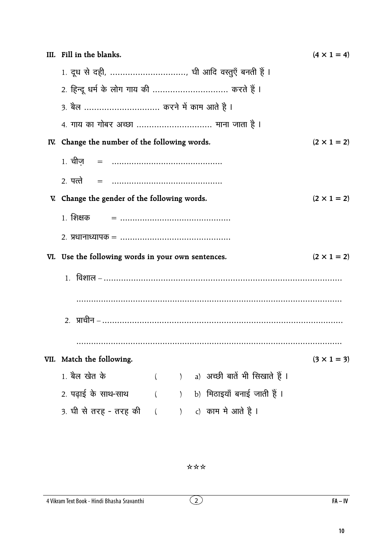|     | III. Fill in the blanks.                           | $(4 \times 1 = 4)$ |               |  |                                               |                    |  |  |  |  |
|-----|----------------------------------------------------|--------------------|---------------|--|-----------------------------------------------|--------------------|--|--|--|--|
|     | 1. दूध से दही, , घी आदि वस्तुएँ बनती हैं ।         |                    |               |  |                                               |                    |  |  |  |  |
|     | 2. हिन्दू धर्म के लोग गाय की  करते हैं ।           |                    |               |  |                                               |                    |  |  |  |  |
|     | 3. बैल  करने में काम आते है ।                      |                    |               |  |                                               |                    |  |  |  |  |
|     | 4. गाय का गोबर अच्छा  माना जाता है ।               |                    |               |  |                                               |                    |  |  |  |  |
| IV. | Change the number of the following words.          |                    |               |  |                                               | $(2 \times 1 = 2)$ |  |  |  |  |
|     |                                                    |                    |               |  |                                               |                    |  |  |  |  |
|     | 2. पत्ते                                           |                    |               |  |                                               |                    |  |  |  |  |
|     | V. Change the gender of the following words.       |                    |               |  |                                               | $(2 \times 1 = 2)$ |  |  |  |  |
|     | 1. शिक्षक                                          |                    |               |  |                                               |                    |  |  |  |  |
|     |                                                    |                    |               |  |                                               |                    |  |  |  |  |
|     | VI. Use the following words in your own sentences. |                    |               |  |                                               | $(2 \times 1 = 2)$ |  |  |  |  |
|     |                                                    |                    |               |  |                                               |                    |  |  |  |  |
|     |                                                    |                    |               |  |                                               |                    |  |  |  |  |
|     |                                                    |                    |               |  | 2.   प्राचीन – ……………………………………………………………………………… |                    |  |  |  |  |
|     |                                                    |                    |               |  |                                               |                    |  |  |  |  |
|     | VII. Match the following.                          |                    |               |  |                                               | $(3 \times 1 = 3)$ |  |  |  |  |
|     | 1. बैल खेत के                                      | $\left($           | $\mathcal{E}$ |  | a) अच्छी बातें भी सिखाते हैं ।                |                    |  |  |  |  |
|     | 2. पढ़ाई के साथ-साथ                                |                    | $\lambda$     |  | b) मिठाइयाँ बनाई जाती हैं ।                   |                    |  |  |  |  |
|     | 3. घी से तरह - तरह की                              | $\left($           | $\mathcal{L}$ |  | c) काम मे आते है ।                            |                    |  |  |  |  |

\*\*\*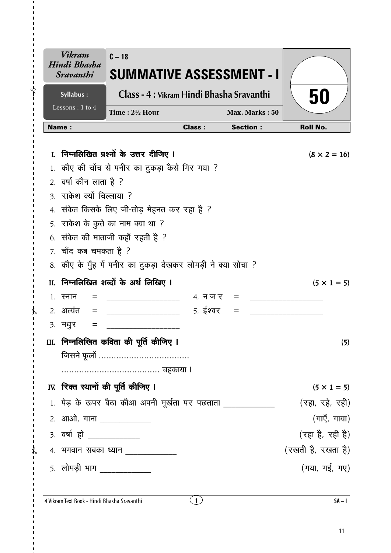| <b>Vikram</b><br>Hindi Bhasha<br><i><b>Sravanthi</b></i> | $C - 18$<br>SUMMATIVE ASSESSMENT - I                                                    |                |                 |                     |
|----------------------------------------------------------|-----------------------------------------------------------------------------------------|----------------|-----------------|---------------------|
| Syllabus:                                                | Class - 4 : Vikram Hindi Bhasha Sravanthi                                               |                |                 | 50                  |
| Lessons : 1 to 4                                         | Time: $2\frac{1}{2}$ Hour                                                               |                | Max. Marks: 50  |                     |
| <b>Name:</b>                                             |                                                                                         | <b>Class:</b>  | <b>Section:</b> | <b>Roll No.</b>     |
|                                                          | निम्नलिखित प्रश्नों के उत्तर दीजिए ।<br>1. कौए की चोंच से पनीर का टुकड़ा कैसे गिर गया ? |                |                 | $(8 \times 2 = 16)$ |
| 2. वर्षा कौन लाता है ?<br>3. राकेश क्यों चिल्लाया ?      |                                                                                         |                |                 |                     |
|                                                          | 4. संकेत किसके लिए जी-तोड़ मेहनत कर रहा है ?                                            |                |                 |                     |
|                                                          | 5. राकेश के कुत्ते का नाम क्या था ?                                                     |                |                 |                     |
|                                                          | 6. संकेत की माताजी कहाँ रहती है ?                                                       |                |                 |                     |
| 7. चाँद कब चमकता है ?                                    |                                                                                         |                |                 |                     |
|                                                          | 8. कौए के मुँह में पनीर का दुकड़ा देखकर लोमड़ी ने क्या सोचा ?                           |                |                 |                     |
|                                                          | II. निम्नलिखित शब्दों के अर्थ लिखिए I                                                   |                |                 | $(5 \times 1 = 5)$  |
| 1. स्नान                                                 |                                                                                         | $4.777 = 4.47$ |                 |                     |
| 2. अत्यंत<br>$\qquad \qquad =$                           |                                                                                         | 5. ईश्वर       |                 |                     |
| ३. मधुर<br>=                                             |                                                                                         |                |                 |                     |
|                                                          | III. निम्नलिखित कविता की पूर्ति कीजिए ।                                                 |                |                 | (5)                 |
|                                                          |                                                                                         |                |                 |                     |
|                                                          |                                                                                         |                |                 |                     |
|                                                          | IV. रिक्त स्थानों की पूर्ति कीजिए I                                                     |                |                 | $(5 \times 1 = 5)$  |
|                                                          | 1. पेड़ के ऊपर बैठा कौआ अपनी मूर्खता पर पछताता ______________                           |                |                 | (रहा, रहे, रही)     |
| 2. आओ, गाना _____________                                |                                                                                         |                |                 | (गाएँ, गाया)        |
| 3. वर्षा हो ____________                                 |                                                                                         |                |                 | (रहा है, रही है)    |
|                                                          | 4. भगवान सबका ध्यान _____________                                                       |                |                 | (रखती है, रखता है)  |
| 5. लोमड़ी भाग ____________                               |                                                                                         |                |                 | (गया, गई, गए)       |

 $\mathbf{I}$  $\sqrt{ }$ 

 $\mathcal{X}$  $\overline{1}$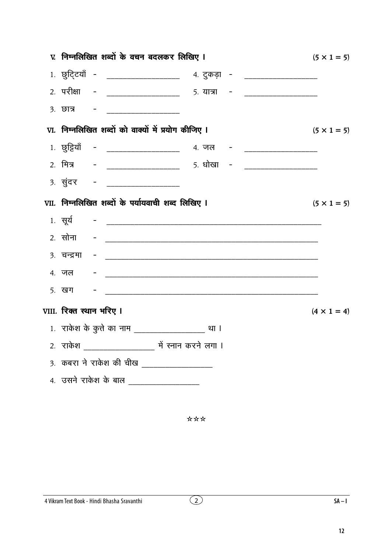|                          | V. निम्नलिखित शब्दों के वचन बदलकर लिखिए ।                                                    | $(5 \times 1 = 5)$ |
|--------------------------|----------------------------------------------------------------------------------------------|--------------------|
|                          | 1. छुट्टियाँ - __________________ 4. टुकड़ा - _________________                              |                    |
|                          | 2. परीक्षा - ___________________ 5. यात्रा - ____________________                            |                    |
|                          |                                                                                              |                    |
|                          | VI. निम्नलिखित शब्दों को वाक्यों में प्रयोग कीजिए ।                                          | $(5 \times 1 = 5)$ |
|                          | 1. छुट्टियाँ - ____________________ 4. जल - ____________________                             |                    |
|                          | 2. मित्र       -     _____________________        5. धोखा    -       _______________________ |                    |
|                          |                                                                                              |                    |
|                          | VII. निम्नलिखित शब्दों के पर्यायवाची शब्द लिखिए I                                            | $(5 \times 1 = 5)$ |
|                          |                                                                                              |                    |
|                          |                                                                                              |                    |
|                          |                                                                                              |                    |
|                          |                                                                                              |                    |
|                          |                                                                                              |                    |
| VIII. रिक्त स्थान भरिए I |                                                                                              | $(4 \times 1 = 4)$ |
|                          |                                                                                              |                    |
|                          |                                                                                              |                    |
|                          | 3. कबरा ने राकेश की चीख _________________                                                    |                    |
|                          | 4. उसने राकेश के बाल __________________                                                      |                    |
|                          |                                                                                              |                    |
|                          |                                                                                              |                    |

\*\*\*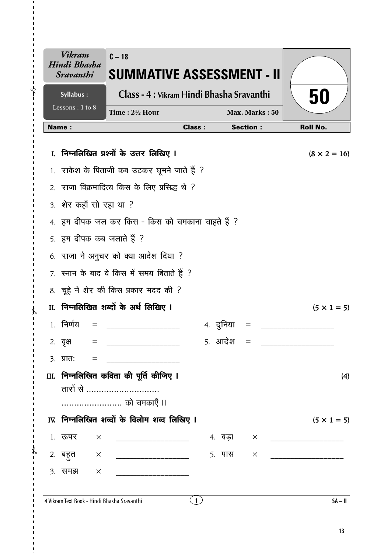| Vikram<br>Hindi Bhasha<br><i><b>Sravanthi</b></i> |          | $C-18$<br><b>SUMMATIVE ASSESSMENT - II</b>       |               |           |                 |                     |
|---------------------------------------------------|----------|--------------------------------------------------|---------------|-----------|-----------------|---------------------|
| Syllabus:                                         |          | Class - 4 : Vikram Hindi Bhasha Sravanthi        |               |           |                 | 50                  |
| Lessons: 1 to 8                                   |          | Time: $2\frac{1}{2}$ Hour                        |               |           | Max. Marks: 50  |                     |
| <b>Name:</b>                                      |          |                                                  | <b>Class:</b> |           | <b>Section:</b> | <b>Roll No.</b>     |
|                                                   |          | I. निम्नलिखित प्रश्नों के उत्तर लिखिए I          |               |           |                 | $(8 \times 2 = 16)$ |
|                                                   |          | 1. राकेश के पिताजी कब उठकर घूमने जाते हैं ?      |               |           |                 |                     |
|                                                   |          | 2. राजा विक्रमादित्य किस के लिए प्रसिद्ध थे ?    |               |           |                 |                     |
|                                                   |          | 3. शेर कहाँ सो रहा था ?                          |               |           |                 |                     |
|                                                   |          | 4. हम दीपक जल कर किस - किस को चमकाना चाहते हैं ? |               |           |                 |                     |
|                                                   |          | 5. हम दीपक कब जलाते हैं ?                        |               |           |                 |                     |
|                                                   |          | 6. राजा ने अनुचर को क्या आदेश दिया ?             |               |           |                 |                     |
|                                                   |          | 7. रनान के बाद वे किस में समय बिताते हैं ?       |               |           |                 |                     |
|                                                   |          | 8. चूहे ने शेर की किस प्रकार मदद की ?            |               |           |                 |                     |
|                                                   |          | II. निम्नलिखित शब्दों के अर्थ लिखिए I            |               |           |                 | $(5 \times 1 = 5)$  |
| 1 निर्णय                                          |          |                                                  |               | ४. दुनिया |                 |                     |
| 2. वृक्ष                                          |          |                                                  |               | 5. आदेश   |                 |                     |
| $3.$ प्रातः                                       | $=$      |                                                  |               |           |                 |                     |
|                                                   |          | III.  निम्नलिखित कविता की पूर्ति कीजिए ।         |               |           |                 | (4)                 |
|                                                   |          | तारों से                                         |               |           |                 |                     |
|                                                   |          | को चमकाएँ ॥                                      |               |           |                 |                     |
|                                                   |          | IV. निम्नलिखित शब्दों के विलोम शब्द लिखिए I      |               |           |                 | $(5 \times 1 = 5)$  |
| 1. ऊपर                                            | $\times$ | _____________________________                    |               | 4. बड़ा   | $\times$        |                     |
| 2. बहुत                                           | $\times$ | ____________________________                     |               | 5. पास    | $\times$        |                     |
| ३. समझ                                            | $\times$ | <u> 1999 - John Harrison, mars et al. 199</u>    |               |           |                 |                     |
|                                                   |          | 4 Vikram Text Book - Hindi Bhasha Sravanthi      | (1)           |           |                 | $SA - II$           |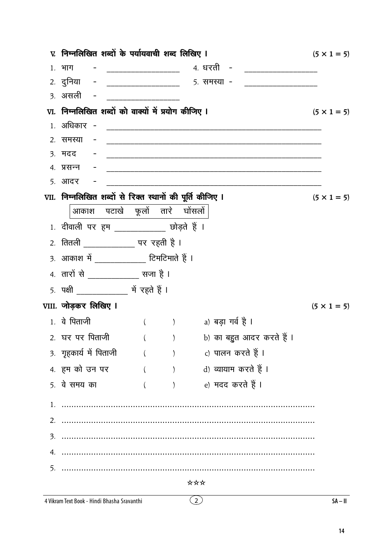|    | v. निम्नलिखित शब्दों के पर्यायवाची शब्द लिखिए ।                                                                      |                                              |     |                                                                 | $(5 \times 1 = 5)$ |
|----|----------------------------------------------------------------------------------------------------------------------|----------------------------------------------|-----|-----------------------------------------------------------------|--------------------|
|    |                                                                                                                      |                                              |     |                                                                 |                    |
|    |                                                                                                                      |                                              |     | 2. दुनिया - ___________________ 5. समस्या - ___________________ |                    |
|    | <u>3. असली -</u>                                                                                                     | <u> 1960 - Johann John Barn, mars eta ba</u> |     |                                                                 |                    |
|    | VI. निम्नलिखित शब्दों को वाक्यों में प्रयोग कीजिए I                                                                  |                                              |     |                                                                 | $(5 \times 1 = 5)$ |
|    |                                                                                                                      |                                              |     |                                                                 |                    |
|    | 2. समस्या<br>$\alpha_{\rm{max}}=0.01$                                                                                |                                              |     |                                                                 |                    |
|    | <u>3. मदद परिचार स्थापना अधिकारी स्थापना अधिकारिक स्थापना अधिकारिक स्थापना अधिकारिक स्थापना अधिकारिक स्थापना अधि</u> |                                              |     |                                                                 |                    |
|    |                                                                                                                      |                                              |     |                                                                 |                    |
|    | 5. आदर                                                                                                               |                                              |     |                                                                 |                    |
|    | VII. निम्नलिखित शब्दों से रिक्त स्थानों की पूर्ति कीजिए I                                                            |                                              |     |                                                                 | $(5 \times 1 = 5)$ |
|    | आकाश पटाखे फूलों तारे घोंसलों                                                                                        |                                              |     |                                                                 |                    |
|    | 1. दीवाली पर हम ____________ छोड़ते हैं ।                                                                            |                                              |     |                                                                 |                    |
|    | <u>2. तितली _____________</u> पर रहती है ।                                                                           |                                              |     |                                                                 |                    |
|    | 3. आकाश में ____________ टिमटिमाते हैं ।                                                                             |                                              |     |                                                                 |                    |
|    | 4. तारों से ____________ सजा है ।                                                                                    |                                              |     |                                                                 |                    |
|    |                                                                                                                      |                                              |     |                                                                 |                    |
|    | VIII. जोड़कर लिखिए I                                                                                                 |                                              |     |                                                                 | $(5 \times 1 = 5)$ |
|    | 1. वे पिताजी                                                                                                         |                                              |     | () a) बड़ा गर्व है।                                             |                    |
|    | 2. घर पर पिताजी                                                                                                      | $\left($                                     |     | )       b) का बहुत आदर करते हैं ।                               |                    |
|    | 3. गृहकार्य में पिताजी                                                                                               | ( ) c) पालन करते हैं ।                       |     |                                                                 |                    |
|    | 4. हम को उन पर                                                                                                       |                                              |     | ( ) d) व्यायाम करते हैं ।                                       |                    |
|    | 5. वे समय का                                                                                                         | $($ $)$                                      |     | e) मदद करते हैं ।                                               |                    |
|    |                                                                                                                      |                                              |     |                                                                 |                    |
|    |                                                                                                                      |                                              |     |                                                                 |                    |
|    |                                                                                                                      |                                              |     |                                                                 |                    |
| 4. |                                                                                                                      |                                              |     |                                                                 |                    |
| 5. |                                                                                                                      |                                              |     |                                                                 |                    |
|    |                                                                                                                      |                                              | *** |                                                                 |                    |
|    | 4 Vikram Text Book - Hindi Bhasha Sravanthi                                                                          |                                              | (2) |                                                                 | $SA - II$          |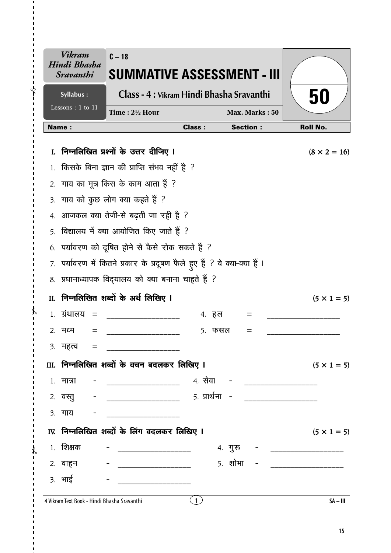|              | Vikram<br>Hindi Bhasha<br><i><b>Sravanthi</b></i> | $C - 18$<br>SUMMATIVE ASSESSMENT - III                                    |               |                 |                           |
|--------------|---------------------------------------------------|---------------------------------------------------------------------------|---------------|-----------------|---------------------------|
|              | Syllabus:                                         | Class - 4 : Vikram Hindi Bhasha Sravanthi                                 |               |                 | 50                        |
|              | Lessons: 1 to 11                                  | Time: 21/2 Hour                                                           |               | Max. Marks: 50  |                           |
|              | <b>Name:</b>                                      |                                                                           | <b>Class:</b> | <b>Section:</b> | <b>Roll No.</b>           |
| $\mathbf{L}$ |                                                   | निम्नलिखित प्रश्नों के उत्तर दीजिए ।                                      |               |                 | $(8 \times 2 = 16)$       |
|              |                                                   | किसके बिना ज्ञान की प्राप्ति संभव नहीं है ?                               |               |                 |                           |
| 2.           |                                                   | गाय का मूत्र किस के काम आता हैं ?                                         |               |                 |                           |
|              |                                                   | 3. गाय को कुछ लोग क्या कहते हैं ?                                         |               |                 |                           |
| 4.           |                                                   | आजकल क्या तेजी-से बढ़ती जा रही है ?                                       |               |                 |                           |
|              |                                                   | 5. विद्यालय में क्या आयोजित किए जाते हैं ?                                |               |                 |                           |
|              |                                                   | 6. पर्यावरण को दूषित होने से कैसे रोक सकते हैं ?                          |               |                 |                           |
|              |                                                   | 7. पर्यावरण में कितने प्रकार के प्रदूषण फैले हुए हैं ? वे क्या-क्या हैं । |               |                 |                           |
|              |                                                   | 8. प्रधानाध्यापक विद्यालय को क्या बनाना चाहते हैं ?                       |               |                 |                           |
| II.          |                                                   | निम्नलिखित शब्दों के अर्थ लिखिए ।                                         |               |                 | $(5 \times 1 = 5)$        |
|              | 1. ग्रंथालय<br>$=$                                |                                                                           | 4. हल         | $=$             |                           |
|              | २. मध्म<br>=                                      |                                                                           | 5. फसल        | $=$             |                           |
|              | ३. महत्त्व =                                      |                                                                           |               |                 |                           |
|              |                                                   | III. निम्नलिखित शब्दों के वचन बदलकर लिखिए I                               |               |                 | $(5 \times 1 = 5)$        |
|              | १. मात्रा                                         |                                                                           |               |                 |                           |
|              |                                                   |                                                                           |               |                 |                           |
|              | <u>3. गाय - - </u>                                |                                                                           |               |                 |                           |
|              |                                                   | IV. निम्नलिखित शब्दों के लिंग बदलकर लिखिए I                               |               |                 | $(5 \times 1 = 5)$        |
|              | 1. शिक्षक                                         |                                                                           |               | 4. गुरू         | _________________________ |
|              | 2. वाहन                                           |                                                                           |               | $5.$ शोभा -     |                           |
|              | 3. भाई                                            | _____________________________                                             |               |                 |                           |
|              |                                                   |                                                                           |               |                 |                           |

 $\mathbf{I}$  $\bigg\{$ 

 $\mathcal{X}$  $\overline{1}$ 

 $\mathcal{X}$ 

 $SA - III$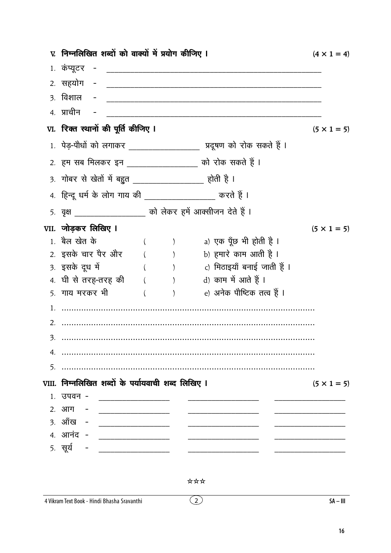|    | V. निम्नलिखित शब्दों को वाक्यों में प्रयोग कीजिए I             |            |                                                                                                                                                                                                                                                                                                                                                                                                                            | $(4 \times 1 = 4)$ |
|----|----------------------------------------------------------------|------------|----------------------------------------------------------------------------------------------------------------------------------------------------------------------------------------------------------------------------------------------------------------------------------------------------------------------------------------------------------------------------------------------------------------------------|--------------------|
|    | 1. कंप्यूटर                                                    |            |                                                                                                                                                                                                                                                                                                                                                                                                                            |                    |
|    | 2. सहयोग<br>$\sim$ $-$                                         |            |                                                                                                                                                                                                                                                                                                                                                                                                                            |                    |
|    | ३. विशाल                                                       |            |                                                                                                                                                                                                                                                                                                                                                                                                                            |                    |
|    | 4. प्राचीन                                                     |            |                                                                                                                                                                                                                                                                                                                                                                                                                            |                    |
|    | VI. रिक्त स्थानों की पूर्ति कीजिए I                            |            |                                                                                                                                                                                                                                                                                                                                                                                                                            | $(5 \times 1 = 5)$ |
|    |                                                                |            | 1. पेड़-पौधों को लगाकर _____________________ प्रदूषण को रोक सकते हैं ।                                                                                                                                                                                                                                                                                                                                                     |                    |
|    | 2. हम सब मिलकर इन __________________ को रोक सकते हैं ।         |            |                                                                                                                                                                                                                                                                                                                                                                                                                            |                    |
|    | <u>3. गोबर से खेतों में बहुत __________________</u> होती है ।  |            |                                                                                                                                                                                                                                                                                                                                                                                                                            |                    |
|    | 4. हिन्दू धर्म के लोग गाय की __________________ करते हैं ।     |            |                                                                                                                                                                                                                                                                                                                                                                                                                            |                    |
|    | 5. वृक्ष _____________________ को लेकर हमें आक्सीजन देते हैं । |            |                                                                                                                                                                                                                                                                                                                                                                                                                            |                    |
|    | VII. जोड़कर लिखिए I                                            |            |                                                                                                                                                                                                                                                                                                                                                                                                                            | $(5 \times 1 = 5)$ |
|    | 1. बैल खेत के                                                  |            | a) एक पूँछ भी होती है ।                                                                                                                                                                                                                                                                                                                                                                                                    |                    |
|    |                                                                |            | 2. इसके चार पैर और        (          )          b) हमारे काम आती है ।                                                                                                                                                                                                                                                                                                                                                      |                    |
|    | 3. इसके दूध में                                                |            | ( )              c)  मिठाइयाँ बनाई जाती हैं ।                                                                                                                                                                                                                                                                                                                                                                              |                    |
|    | 4. घी से तरह-तरह की $($ ) $)$ d) काम में आते हैं ।             |            |                                                                                                                                                                                                                                                                                                                                                                                                                            |                    |
|    | 5. गाय मरकर भी                                                 | $\sqrt{2}$ | e) अनेक पौष्टिक तत्व हैं ।                                                                                                                                                                                                                                                                                                                                                                                                 |                    |
|    |                                                                |            |                                                                                                                                                                                                                                                                                                                                                                                                                            |                    |
| 2. |                                                                |            | $\begin{minipage}{0.9\linewidth} \begin{tabular}{l} \hline \textbf{1} & \textbf{2} & \textbf{3} & \textbf{4} & \textbf{5} & \textbf{6} & \textbf{6} & \textbf{7} & \textbf{8} & \textbf{9} & \textbf{10} & \textbf{10} & \textbf{10} & \textbf{10} & \textbf{10} & \textbf{10} & \textbf{10} & \textbf{10} & \textbf{10} & \textbf{10} & \textbf{10} & \textbf{10} & \textbf{10} & \textbf{10} & \textbf{10} & \textbf{10$ |                    |
| 3. |                                                                |            |                                                                                                                                                                                                                                                                                                                                                                                                                            |                    |
|    |                                                                |            |                                                                                                                                                                                                                                                                                                                                                                                                                            |                    |
| 5. |                                                                |            |                                                                                                                                                                                                                                                                                                                                                                                                                            |                    |
|    | VIII. निम्नलिखित शब्दों के पर्यायवाची शब्द लिखिए ।             |            |                                                                                                                                                                                                                                                                                                                                                                                                                            | $(5 \times 1 = 5)$ |
|    | 1. उपवन -<br><u> 1980 - Jan Barbarat, manala</u>               |            |                                                                                                                                                                                                                                                                                                                                                                                                                            |                    |
|    | 2. आग -                                                        |            |                                                                                                                                                                                                                                                                                                                                                                                                                            |                    |
|    | 3. ऑंख - ________________                                      |            |                                                                                                                                                                                                                                                                                                                                                                                                                            |                    |
|    | 4. आनंद - __________________                                   |            |                                                                                                                                                                                                                                                                                                                                                                                                                            |                    |
|    | 5. सूर्य<br>— <u>— — — — — — — — — — — — — — —</u>             |            |                                                                                                                                                                                                                                                                                                                                                                                                                            |                    |

 $\odot$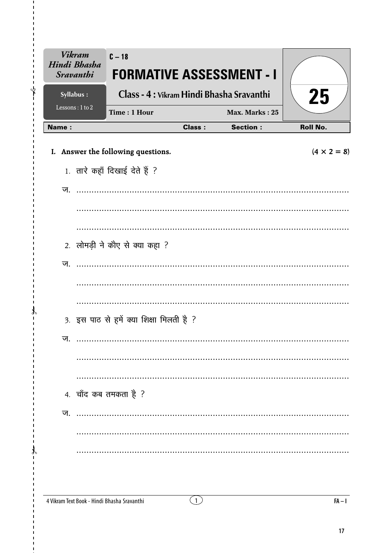| <b>Vikram</b><br>Hindi Bhasha<br><b>Sravanthi</b> | $C-18$<br><b>FORMATIVE ASSESSMENT - I</b>   |                     |                 |                    |
|---------------------------------------------------|---------------------------------------------|---------------------|-----------------|--------------------|
| Syllabus:                                         | Class - 4 : Vikram Hindi Bhasha Sravanthi   |                     |                 | 25                 |
| Lessons: 1 to 2                                   | Time: 1 Hour                                |                     | Max. Marks: 25  |                    |
| Name:                                             |                                             | <b>Class:</b>       | <b>Section:</b> | <b>Roll No.</b>    |
|                                                   | I. Answer the following questions.          |                     |                 | $(4 \times 2 = 8)$ |
|                                                   | 1. तारे कहाँ दिखाई देते हैं ?               |                     |                 |                    |
| ज.                                                |                                             |                     |                 |                    |
|                                                   |                                             |                     |                 |                    |
|                                                   |                                             |                     |                 |                    |
|                                                   | 2. लोमड़ी ने कौए से क्या कहा ?              |                     |                 |                    |
| ज.                                                |                                             |                     |                 |                    |
|                                                   |                                             |                     |                 |                    |
|                                                   |                                             |                     |                 |                    |
|                                                   | 3. इस पाठ से हमें क्या शिक्षा मिलती है ?    |                     |                 |                    |
| ज.                                                |                                             |                     |                 |                    |
|                                                   |                                             |                     |                 |                    |
|                                                   |                                             |                     |                 |                    |
|                                                   | 4. चाँद कब तमकता है ?                       |                     |                 |                    |
| ज.                                                |                                             |                     |                 |                    |
|                                                   |                                             |                     |                 |                    |
|                                                   |                                             |                     |                 |                    |
|                                                   |                                             |                     |                 |                    |
|                                                   |                                             |                     |                 |                    |
|                                                   | 4 Vikram Text Book - Hindi Bhasha Sravanthi | $\lfloor 1 \rfloor$ |                 | $FA-I$             |

 $\mathbf{r}$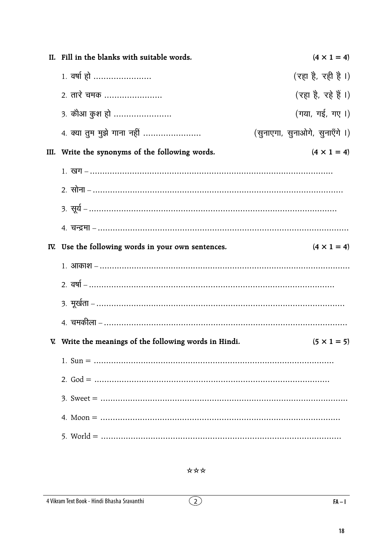| II. Fill in the blanks with suitable words.            | $(4 \times 1 = 4)$             |
|--------------------------------------------------------|--------------------------------|
| 1. वर्षा हो                                            | (रहा है, रही है।)              |
| 2. तारे चमक                                            | (रहा है, रहे हैं ।)            |
| <u> 3. कौआ कुश हो </u>                                 | (गया, गई, गए।)                 |
| 4. क्या तुम मुझे गाना नहीं                             | (सुनाएगा, सुनाओगे, सुनाएँगे ।) |
| III. Write the synonyms of the following words.        | $(4 \times 1 = 4)$             |
|                                                        |                                |
|                                                        |                                |
|                                                        |                                |
|                                                        |                                |
| IV. Use the following words in your own sentences.     | $(4 \times 1 = 4)$             |
|                                                        |                                |
|                                                        |                                |
|                                                        |                                |
|                                                        |                                |
| V. Write the meanings of the following words in Hindi. | $(5 \times 1 = 5)$             |
|                                                        |                                |
|                                                        |                                |
|                                                        |                                |
|                                                        |                                |
|                                                        |                                |

 $\overline{O}$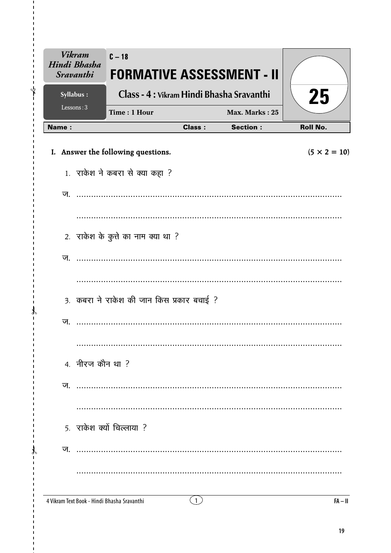| <b>Vikram</b><br>Hindi Bhasha<br><b>Sravanthi</b> | $C - 18$<br><b>FORMATIVE ASSESSMENT - II</b> |               |                 |                     |
|---------------------------------------------------|----------------------------------------------|---------------|-----------------|---------------------|
| Syllabus:                                         | Class - 4 : Vikram Hindi Bhasha Sravanthi    |               |                 | 25                  |
| Lessons: 3                                        | Time: 1 Hour                                 |               | Max. Marks: 25  |                     |
| <b>Name:</b>                                      |                                              | <b>Class:</b> | <b>Section:</b> | <b>Roll No.</b>     |
|                                                   | I. Answer the following questions.           |               |                 | $(5 \times 2 = 10)$ |
|                                                   | 1. राकेश ने कबरा से क्या कहा ?               |               |                 |                     |
| ज.                                                |                                              |               |                 |                     |
|                                                   |                                              |               |                 |                     |
|                                                   | 2. राकेश के कुत्ते का नाम क्या था ?          |               |                 |                     |
| ज.                                                |                                              |               |                 |                     |
|                                                   |                                              |               |                 |                     |
|                                                   | 3. कबरा ने राकेश की जान किस प्रकार बचाई ?    |               |                 |                     |
| ज.                                                |                                              |               |                 |                     |
|                                                   |                                              |               |                 |                     |
|                                                   | 4. नीरज कौन था ?                             |               |                 |                     |
| ज                                                 |                                              |               |                 |                     |
|                                                   |                                              |               |                 |                     |
|                                                   | 5. राकेश क्यों चिल्लाया ?                    |               |                 |                     |
| ज                                                 |                                              |               |                 |                     |
|                                                   |                                              |               |                 |                     |
|                                                   | 4 Vikram Text Book - Hindi Bhasha Sravanthi  | (1)           |                 | $FA - II$           |

 $\mathcal{X}$  $\mathbf{I}$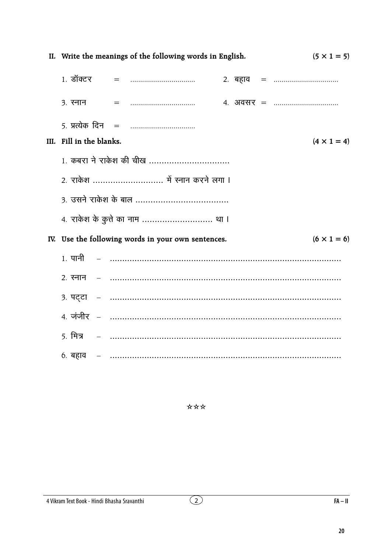| II. Write the meanings of the following words in English.<br>$(5 \times 1 = 5)$ |  |  |             |                                                    |  |  |  |                                                  |
|---------------------------------------------------------------------------------|--|--|-------------|----------------------------------------------------|--|--|--|--------------------------------------------------|
|                                                                                 |  |  | 1. डॉक्टर = |                                                    |  |  |  |                                                  |
|                                                                                 |  |  |             |                                                    |  |  |  | 4. अवसर =                                        |
|                                                                                 |  |  |             |                                                    |  |  |  |                                                  |
| III. Fill in the blanks.                                                        |  |  |             |                                                    |  |  |  | $(4 \times 1 = 4)$                               |
|                                                                                 |  |  |             | 1. कबरा ने राकेश की चीख                            |  |  |  |                                                  |
|                                                                                 |  |  |             | 2. राकेश  में स्नान करने लगा ।                     |  |  |  |                                                  |
|                                                                                 |  |  |             |                                                    |  |  |  |                                                  |
|                                                                                 |  |  |             | 4. राकेश के कुत्ते का नाम  था ।                    |  |  |  |                                                  |
|                                                                                 |  |  |             | IV. Use the following words in your own sentences. |  |  |  | $(6 \times 1 = 6)$                               |
|                                                                                 |  |  |             |                                                    |  |  |  |                                                  |
|                                                                                 |  |  |             |                                                    |  |  |  |                                                  |
|                                                                                 |  |  |             |                                                    |  |  |  | 3. पट्टा – ………………………………………………………………………………        |
|                                                                                 |  |  |             |                                                    |  |  |  | <u> 4. जंजीर – ……………………………………………………………………………</u> |
|                                                                                 |  |  |             |                                                    |  |  |  |                                                  |
|                                                                                 |  |  |             |                                                    |  |  |  | 6. बहाव – …………………………………………………………………………………        |

\*\*\*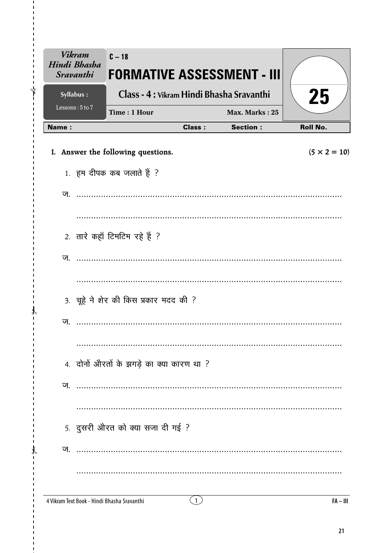| <b>Vikram</b><br>Hindi Bhasha<br><b>Sravanthi</b> | $C - 18$                                    |                                           | <b>FORMATIVE ASSESSMENT - III</b> |                     |
|---------------------------------------------------|---------------------------------------------|-------------------------------------------|-----------------------------------|---------------------|
| Syllabus:                                         |                                             | Class - 4 : Vikram Hindi Bhasha Sravanthi |                                   | 25                  |
| Lessons: 5 to 7                                   | Time: 1 Hour                                |                                           | Max. Marks: 25                    |                     |
| <b>Name:</b>                                      |                                             | <b>Class:</b>                             | <b>Section:</b>                   | <b>Roll No.</b>     |
|                                                   | I. Answer the following questions.          |                                           |                                   | $(5 \times 2 = 10)$ |
|                                                   | 1. हम दीपक कब जलाते हैं ?                   |                                           |                                   |                     |
| ज.                                                |                                             |                                           |                                   |                     |
|                                                   |                                             |                                           |                                   |                     |
|                                                   | 2. तारे कहाँ टिमटिम रहे हैं ?               |                                           |                                   |                     |
| ज.                                                |                                             |                                           |                                   |                     |
|                                                   |                                             |                                           |                                   |                     |
|                                                   | 3. चूहे ने शेर की किस प्रकार मदद की ?       |                                           |                                   |                     |
| ज.                                                |                                             |                                           |                                   |                     |
|                                                   |                                             |                                           |                                   |                     |
|                                                   | 4. दोनों औरतों के झगड़े का क्या कारण था ?   |                                           |                                   |                     |
| ज.                                                |                                             |                                           |                                   |                     |
|                                                   |                                             |                                           |                                   |                     |
|                                                   | 5. दुसरी औरत को क्या सजा दी गई ?            |                                           |                                   |                     |
| ज.                                                |                                             |                                           |                                   |                     |
|                                                   |                                             |                                           |                                   |                     |
|                                                   | 4 Vikram Text Book - Hindi Bhasha Sravanthi | $\left(1\right)$                          |                                   | $FA - III$          |

ï  $\mathbf{I}$  $\sqrt[4]{\hspace{1.8cm}}$ 

 $\mathcal{X}$  $\overline{1}$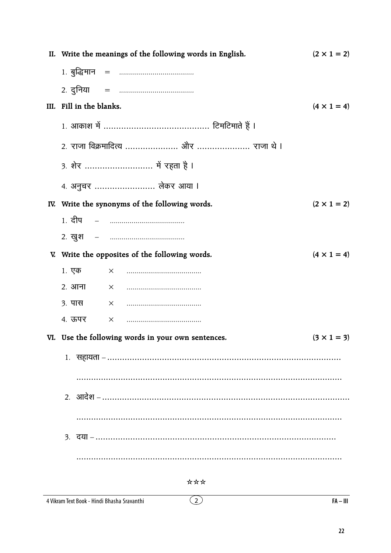| II. Write the meanings of the following words in English. | $(2 \times 1 = 2)$ |
|-----------------------------------------------------------|--------------------|
|                                                           |                    |
|                                                           |                    |
| III. Fill in the blanks.                                  | $(4 \times 1 = 4)$ |
|                                                           |                    |
|                                                           |                    |
| 3. शेर  में रहता है ।                                     |                    |
| 4. अनुचर  लेकर आया ।                                      |                    |
| IV. Write the synonyms of the following words.            | $(2 \times 1 = 2)$ |
| <u> 1. दीप     –     …………………………………</u>                    |                    |
|                                                           |                    |
| V. Write the opposites of the following words.            | $(4 \times 1 = 4)$ |
| 1. एक                                                     |                    |
| 2. आना                                                    |                    |
| ३. पास                                                    |                    |
| 4. ऊपर                                                    |                    |
| VI. Use the following words in your own sentences.        | $(3 \times 1 = 3)$ |
|                                                           |                    |
|                                                           |                    |
|                                                           |                    |
|                                                           |                    |
|                                                           |                    |
|                                                           |                    |

\*\*\*

 $\overline{2}$ 

#### 4 Vikram Text Book - Hindi Bhasha Sravanthi

 $FA - III$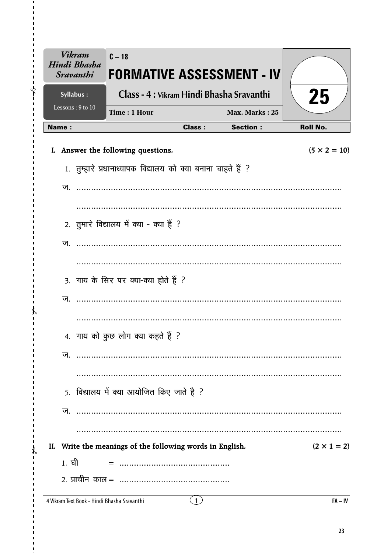| <b>Vikram</b><br>Hindi Bhasha<br><b>Sravanthi</b> | $C - 18$<br><b>FORMATIVE ASSESSMENT - IV</b>                                                                                                                                                                                                                                                                                                                                                                             |               |                 |                     |
|---------------------------------------------------|--------------------------------------------------------------------------------------------------------------------------------------------------------------------------------------------------------------------------------------------------------------------------------------------------------------------------------------------------------------------------------------------------------------------------|---------------|-----------------|---------------------|
| Syllabus:<br>Lessons: 9 to 10                     | Class - 4 : Vikram Hindi Bhasha Sravanthi                                                                                                                                                                                                                                                                                                                                                                                |               |                 | 25                  |
|                                                   | Time: 1 Hour                                                                                                                                                                                                                                                                                                                                                                                                             |               | Max. Marks: 25  |                     |
| <b>Name:</b>                                      |                                                                                                                                                                                                                                                                                                                                                                                                                          | <b>Class:</b> | <b>Section:</b> | <b>Roll No.</b>     |
|                                                   | I. Answer the following questions.                                                                                                                                                                                                                                                                                                                                                                                       |               |                 | $(5 \times 2 = 10)$ |
|                                                   | 1. तुम्हारे प्रधानाध्यापक विद्यालय को क्या बनाना चाहते हैं ?                                                                                                                                                                                                                                                                                                                                                             |               |                 |                     |
| ज.                                                |                                                                                                                                                                                                                                                                                                                                                                                                                          |               |                 |                     |
|                                                   |                                                                                                                                                                                                                                                                                                                                                                                                                          |               |                 |                     |
|                                                   | 2. तुमारे विद्यालय में क्या - क्या हैं ?                                                                                                                                                                                                                                                                                                                                                                                 |               |                 |                     |
|                                                   |                                                                                                                                                                                                                                                                                                                                                                                                                          |               |                 |                     |
| ज.                                                |                                                                                                                                                                                                                                                                                                                                                                                                                          |               |                 |                     |
|                                                   |                                                                                                                                                                                                                                                                                                                                                                                                                          |               |                 |                     |
|                                                   | 3. गाय के सिर पर क्या-क्या होते हैं ?                                                                                                                                                                                                                                                                                                                                                                                    |               |                 |                     |
| ज.                                                |                                                                                                                                                                                                                                                                                                                                                                                                                          |               |                 |                     |
|                                                   |                                                                                                                                                                                                                                                                                                                                                                                                                          |               |                 |                     |
|                                                   | 4. गाय को कुछ लोग क्या कहते हैं ?                                                                                                                                                                                                                                                                                                                                                                                        |               |                 |                     |
| ज.                                                | $\begin{minipage}{. \begin{tabular}{l} \hline \textbf{1} & \textbf{2} & \textbf{3} & \textbf{4} & \textbf{5} & \textbf{6} & \textbf{6} & \textbf{6} & \textbf{7} & \textbf{8} & \textbf{8} & \textbf{9} & \textbf{10} & \textbf{10} & \textbf{10} & \textbf{10} & \textbf{10} & \textbf{10} & \textbf{10} & \textbf{10} & \textbf{10} & \textbf{10} & \textbf{10} & \textbf{10} & \textbf{10} & \textbf{10} & \textbf{1$ |               |                 |                     |
|                                                   |                                                                                                                                                                                                                                                                                                                                                                                                                          |               |                 |                     |
|                                                   | 5. विद्यालय में क्या आयोजित किए जाते है ?                                                                                                                                                                                                                                                                                                                                                                                |               |                 |                     |
|                                                   |                                                                                                                                                                                                                                                                                                                                                                                                                          |               |                 |                     |
|                                                   |                                                                                                                                                                                                                                                                                                                                                                                                                          |               |                 |                     |
|                                                   |                                                                                                                                                                                                                                                                                                                                                                                                                          |               |                 |                     |
|                                                   | II. Write the meanings of the following words in English.                                                                                                                                                                                                                                                                                                                                                                |               |                 | $(2 \times 1 = 2)$  |
| 1. ਬੀ                                             |                                                                                                                                                                                                                                                                                                                                                                                                                          |               |                 |                     |
|                                                   |                                                                                                                                                                                                                                                                                                                                                                                                                          |               |                 |                     |

 $\mathbf{I}$  $\bigg\{$ 

 $\mathcal{X}$  $\mathbf{I}$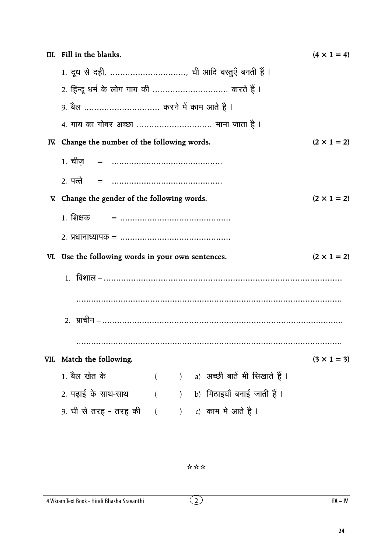|     | III. Fill in the blanks.                           |          |               |  |                                               | $(4 \times 1 = 4)$ |  |  |  |
|-----|----------------------------------------------------|----------|---------------|--|-----------------------------------------------|--------------------|--|--|--|
|     | 1. दूध से दही, , घी आदि वस्तुएँ बनती हैं ।         |          |               |  |                                               |                    |  |  |  |
|     | 2. हिन्दू धर्म के लोग गाय की  करते हैं ।           |          |               |  |                                               |                    |  |  |  |
|     | 3. बैल  करने में काम आते है ।                      |          |               |  |                                               |                    |  |  |  |
|     | 4. गाय का गोबर अच्छा  माना जाता है ।               |          |               |  |                                               |                    |  |  |  |
| IV. | Change the number of the following words.          |          |               |  |                                               | $(2 \times 1 = 2)$ |  |  |  |
|     |                                                    |          |               |  |                                               |                    |  |  |  |
|     | 2. पत्ते                                           |          |               |  |                                               |                    |  |  |  |
|     | V. Change the gender of the following words.       |          |               |  |                                               | $(2 \times 1 = 2)$ |  |  |  |
|     | 1. शिक्षक                                          |          |               |  |                                               |                    |  |  |  |
|     |                                                    |          |               |  |                                               |                    |  |  |  |
|     | VI. Use the following words in your own sentences. |          |               |  |                                               | $(2 \times 1 = 2)$ |  |  |  |
|     |                                                    |          |               |  |                                               |                    |  |  |  |
|     |                                                    |          |               |  |                                               |                    |  |  |  |
|     |                                                    |          |               |  | 2.   प्राचीन – ……………………………………………………………………………… |                    |  |  |  |
|     |                                                    |          |               |  |                                               |                    |  |  |  |
|     | VII. Match the following.                          |          |               |  |                                               | $(3 \times 1 = 3)$ |  |  |  |
|     | 1. बैल खेत के                                      | $\left($ | $\mathcal{L}$ |  | a) अच्छी बातें भी सिखाते हैं ।                |                    |  |  |  |
|     | 2. पढ़ाई के साथ-साथ                                |          | $\mathcal{L}$ |  | b) मिठाइयाँ बनाई जाती हैं ।                   |                    |  |  |  |
|     | 3. घी से तरह - तरह की                              | $\left($ | $\mathcal{F}$ |  | c) काम मे आते है ।                            |                    |  |  |  |

\*\*\*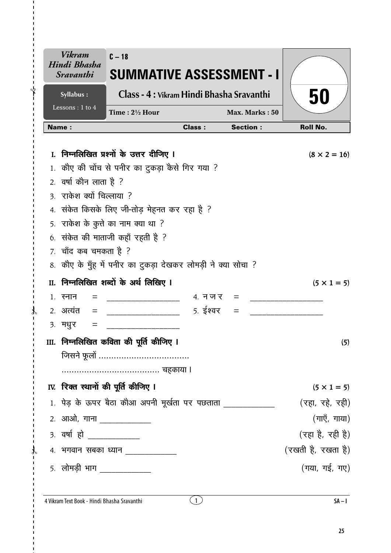| <b>Vikram</b><br>Hindi Bhasha<br><i><b>Sravanthi</b></i> | $C - 18$<br><b>SUMMATIVE ASSESSMENT - I</b>                   |               |                 |                     |
|----------------------------------------------------------|---------------------------------------------------------------|---------------|-----------------|---------------------|
| Syllabus:<br>Lessons: 1 to 4                             | Class - 4 : Vikram Hindi Bhasha Sravanthi                     |               |                 | 50                  |
|                                                          | Time: 21/2 Hour                                               |               | Max. Marks: 50  |                     |
| <b>Name:</b>                                             |                                                               | <b>Class:</b> | <b>Section:</b> | <b>Roll No.</b>     |
|                                                          | I. निम्नलिखित प्रश्नों के उत्तर दीजिए I                       |               |                 | $(8 \times 2 = 16)$ |
|                                                          | 1. कौए की चोंच से पनीर का टुकड़ा कैसे गिर गया ?               |               |                 |                     |
| 2. वर्षा कौन लाता है ?                                   |                                                               |               |                 |                     |
| 3. राकेश क्यों चिल्लाया ?                                |                                                               |               |                 |                     |
|                                                          | 4. संकेत किसके लिए जी-तोड़ मेहनत कर रहा है ?                  |               |                 |                     |
|                                                          | 5. राकेश के कुत्ते का नाम क्या था ?                           |               |                 |                     |
|                                                          | 6. संकेत की माताजी कहाँ रहती है ?                             |               |                 |                     |
| 7. चाँद कब चमकता है ?                                    |                                                               |               |                 |                     |
|                                                          | 8. कौए के मुँह में पनीर का टुकड़ा देखकर लोमड़ी ने क्या सोचा ? |               |                 |                     |
|                                                          | II. निम्नलिखित शब्दों के अर्थ लिखिए I                         |               |                 | $(5 \times 1 = 5)$  |
| 1. स्नान                                                 |                                                               | $4.$ न ज र    |                 |                     |
| 2. अत्यंत<br>$=$                                         |                                                               | 5. ईश्वर      |                 |                     |
| ३. मधुर                                                  |                                                               |               |                 |                     |
|                                                          | III. निम्नलिखित कविता की पूर्ति कीजिए ।                       |               |                 | (5)                 |
|                                                          |                                                               |               |                 |                     |
|                                                          |                                                               |               |                 |                     |
|                                                          | IV. रिक्त स्थानों की पूर्ति कीजिए I                           |               |                 | $(5 \times 1 = 5)$  |
|                                                          | 1. पेड़ के ऊपर बैठा कौआ अपनी मूर्खता पर पछताता                |               |                 | (रहा, रहे, रही)     |
| 2. आओ, गाना ______________                               |                                                               |               |                 | (गाएँ, गाया)        |
| 3. वर्षा हो ____________                                 |                                                               |               |                 | (रहा है, रही है)    |
|                                                          | 4. भगवान सबका ध्यान _____________                             |               |                 | (रखती है, रखता है)  |
| <u>5. लोमड़ी भाग ___________</u>                         |                                                               |               |                 | (गया, गई, गए)       |
|                                                          |                                                               |               |                 |                     |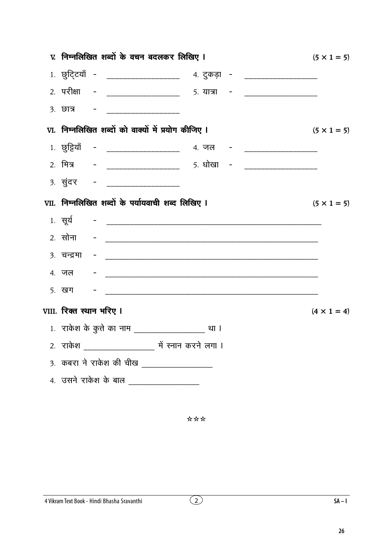|                          | V. निम्नलिखित शब्दों के वचन बदलकर लिखिए ।                                                    | $(5 \times 1 = 5)$ |
|--------------------------|----------------------------------------------------------------------------------------------|--------------------|
|                          | 1. छुट्टियाँ - __________________ 4. टुकड़ा - _________________                              |                    |
|                          | 2. परीक्षा - ___________________ 5. यात्रा - ____________________                            |                    |
|                          |                                                                                              |                    |
|                          | VI. निम्नलिखित शब्दों को वाक्यों में प्रयोग कीजिए ।                                          | $(5 \times 1 = 5)$ |
|                          | 1. छुट्टियाँ - ____________________ 4. जल - ____________________                             |                    |
|                          | 2. मित्र       -     _____________________        5. धोखा    -       _______________________ |                    |
|                          |                                                                                              |                    |
|                          | VII. निम्नलिखित शब्दों के पर्यायवाची शब्द लिखिए I                                            | $(5 \times 1 = 5)$ |
|                          |                                                                                              |                    |
|                          |                                                                                              |                    |
|                          |                                                                                              |                    |
|                          |                                                                                              |                    |
|                          |                                                                                              |                    |
| VIII. रिक्त स्थान भरिए I |                                                                                              | $(4 \times 1 = 4)$ |
|                          |                                                                                              |                    |
|                          |                                                                                              |                    |
|                          | 3. कबरा ने राकेश की चीख _________________                                                    |                    |
|                          | 4. उसने राकेश के बाल __________________                                                      |                    |
|                          |                                                                                              |                    |
|                          |                                                                                              |                    |

\*\*\*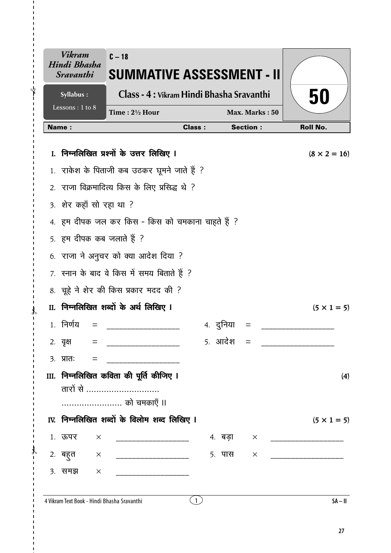| <b>Sravanthi</b>                                       |                | SUMMATIVE ASSESSMENT - II |                     |
|--------------------------------------------------------|----------------|---------------------------|---------------------|
| Class - 4 : Vikram Hindi Bhasha Sravanthi<br>Syllabus: |                |                           | 50                  |
| Lessons: 1 to 8<br>Time: 2½ Hour                       |                | Max. Marks: 50            |                     |
| <b>Name:</b>                                           | <b>Class:</b>  | <b>Section:</b>           | <b>Roll No.</b>     |
| I. निम्नलिखित प्रश्नों के उत्तर लिखिए I                |                |                           | $(8 \times 2 = 16)$ |
| 1. राकेश के पिताजी कब उठकर घूमने जाते हैं ?            |                |                           |                     |
| 2. राजा विक्रमादित्य किस के लिए प्रसिद्ध थे ?          |                |                           |                     |
| 3. शेर कहाँ सो रहा था ?                                |                |                           |                     |
| 4. हम दीपक जल कर किस - किस को चमकाना चाहते हैं ?       |                |                           |                     |
| 5. हम दीपक कब जलाते हैं ?                              |                |                           |                     |
| 6. राजा ने अनुचर को क्या आदेश दिया ?                   |                |                           |                     |
| 7. रनान के बाद वे किस में समय बिताते हैं ?             |                |                           |                     |
| 8. चूहे ने शेर की किस प्रकार मदद की ?                  |                |                           |                     |
| II. निम्नलिखित शब्दों के अर्थ लिखिए I                  |                |                           | $(5 \times 1 = 5)$  |
| 1. निर्णय                                              |                | ४. दुनिया                 |                     |
| २. वृक्ष<br>$\equiv$                                   |                | 5. आदेश                   |                     |
| $3.$ प्रात:<br>$=$                                     |                |                           |                     |
| III.  निम्नलिखित कविता की पूर्ति कीजिए ।               |                |                           | (4)                 |
| तारों से                                               |                |                           |                     |
| को चमकाएँ ॥                                            |                |                           |                     |
| IV. निम्नलिखित शब्दों के विलोम शब्द लिखिए I            |                |                           | $(5 \times 1 = 5)$  |
| 1. ऊपर<br>$\times$                                     |                | 4. बड़ा<br>$\times$       |                     |
| 2. बहुत $\times$<br>_____________________________      |                | 5. पास<br>$\times$        |                     |
| ३. समझ<br>$\times$                                     |                |                           |                     |
| 4 Vikram Text Book - Hindi Bhasha Sravanthi            | $\overline{1}$ |                           | $SA - II$           |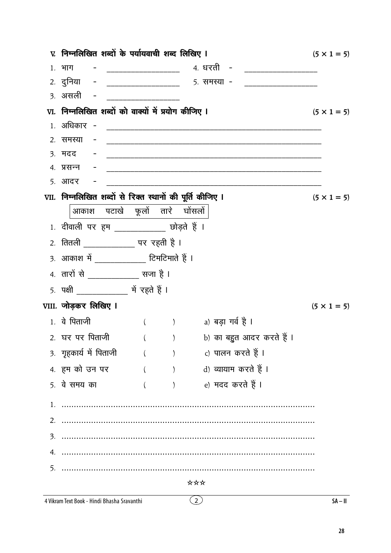|    | v. निम्नलिखित शब्दों के पर्यायवाची शब्द लिखिए ।                                                                      |                                              |     |                                                                 | $(5 \times 1 = 5)$ |
|----|----------------------------------------------------------------------------------------------------------------------|----------------------------------------------|-----|-----------------------------------------------------------------|--------------------|
|    |                                                                                                                      |                                              |     |                                                                 |                    |
|    |                                                                                                                      |                                              |     | 2. दुनिया - ___________________ 5. समस्या - ___________________ |                    |
|    | <u>3. असली -</u>                                                                                                     | <u> 1960 - Johann John Barn, mars eta ba</u> |     |                                                                 |                    |
|    | VI. निम्नलिखित शब्दों को वाक्यों में प्रयोग कीजिए I                                                                  |                                              |     |                                                                 | $(5 \times 1 = 5)$ |
|    |                                                                                                                      |                                              |     |                                                                 |                    |
|    | 2. समस्या<br>$\alpha_{\rm{max}}=0.01$                                                                                |                                              |     |                                                                 |                    |
|    | <u>3. मदद परिचार स्थापना अधिकारी स्थापना स्थापना स्थापना स्थापना स्थापना स्थापना स्थापना स्थापना स्थापना स्थापना</u> |                                              |     |                                                                 |                    |
|    |                                                                                                                      |                                              |     |                                                                 |                    |
|    | 5. आदर                                                                                                               |                                              |     |                                                                 |                    |
|    | VII. निम्नलिखित शब्दों से रिक्त स्थानों की पूर्ति कीजिए I                                                            |                                              |     |                                                                 | $(5 \times 1 = 5)$ |
|    | आकाश पटाखे फूलों तारे घोंसलों                                                                                        |                                              |     |                                                                 |                    |
|    | 1. दीवाली पर हम ____________ छोड़ते हैं ।                                                                            |                                              |     |                                                                 |                    |
|    | <u>2. तितली _____________</u> पर रहती है ।                                                                           |                                              |     |                                                                 |                    |
|    | 3. आकाश में ____________ टिमटिमाते हैं ।                                                                             |                                              |     |                                                                 |                    |
|    | 4. तारों से ____________ सजा है ।                                                                                    |                                              |     |                                                                 |                    |
|    |                                                                                                                      |                                              |     |                                                                 |                    |
|    | VIII. जोड़कर लिखिए I                                                                                                 |                                              |     |                                                                 | $(5 \times 1 = 5)$ |
|    | 1. वे पिताजी                                                                                                         |                                              |     | () a) बड़ा गर्व है।                                             |                    |
|    | 2. घर पर पिताजी                                                                                                      | $\left($                                     |     | )       b) का बहुत आदर करते हैं ।                               |                    |
|    | 3. गृहकार्य में पिताजी                                                                                               | ( ) c) पालन करते हैं ।                       |     |                                                                 |                    |
|    | 4. हम को उन पर                                                                                                       |                                              |     | ( ) d) व्यायाम करते हैं ।                                       |                    |
|    | 5. वे समय का                                                                                                         | $($ $)$                                      |     | e) मदद करते हैं ।                                               |                    |
|    |                                                                                                                      |                                              |     |                                                                 |                    |
|    |                                                                                                                      |                                              |     |                                                                 |                    |
|    |                                                                                                                      |                                              |     |                                                                 |                    |
| 4. |                                                                                                                      |                                              |     |                                                                 |                    |
| 5. |                                                                                                                      |                                              |     |                                                                 |                    |
|    |                                                                                                                      |                                              | *** |                                                                 |                    |
|    | 4 Vikram Text Book - Hindi Bhasha Sravanthi                                                                          |                                              | (2) |                                                                 | $SA - II$          |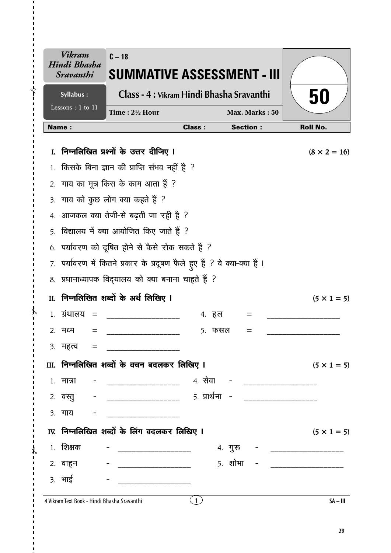|              | Vikram<br>Hindi Bhasha<br><i><b>Sravanthi</b></i> | $C - 18$<br>SUMMATIVE ASSESSMENT - III                                    |               |                 |                           |
|--------------|---------------------------------------------------|---------------------------------------------------------------------------|---------------|-----------------|---------------------------|
|              | Syllabus:                                         | Class - 4 : Vikram Hindi Bhasha Sravanthi                                 |               |                 | 50                        |
|              | Lessons: 1 to 11                                  | Time: 21/2 Hour                                                           |               | Max. Marks: 50  |                           |
|              | <b>Name:</b>                                      |                                                                           | <b>Class:</b> | <b>Section:</b> | <b>Roll No.</b>           |
| $\mathbf{L}$ |                                                   | निम्नलिखित प्रश्नों के उत्तर दीजिए ।                                      |               |                 | $(8 \times 2 = 16)$       |
|              |                                                   | किसके बिना ज्ञान की प्राप्ति संभव नहीं है ?                               |               |                 |                           |
| 2.           |                                                   | गाय का मूत्र किस के काम आता हैं ?                                         |               |                 |                           |
|              |                                                   | 3. गाय को कुछ लोग क्या कहते हैं ?                                         |               |                 |                           |
| 4.           |                                                   | आजकल क्या तेजी-से बढ़ती जा रही है ?                                       |               |                 |                           |
|              |                                                   | 5. विद्यालय में क्या आयोजित किए जाते हैं ?                                |               |                 |                           |
|              |                                                   | 6. पर्यावरण को दूषित होने से कैसे रोक सकते हैं ?                          |               |                 |                           |
|              |                                                   | 7. पर्यावरण में कितने प्रकार के प्रदूषण फैले हुए हैं ? वे क्या-क्या हैं । |               |                 |                           |
|              |                                                   | 8. प्रधानाध्यापक विद्यालय को क्या बनाना चाहते हैं ?                       |               |                 |                           |
| II.          |                                                   | निम्नलिखित शब्दों के अर्थ लिखिए ।                                         |               |                 | $(5 \times 1 = 5)$        |
|              | 1. ग्रंथालय<br>$=$                                |                                                                           | 4. हल         | $=$             |                           |
|              | २. मध्म<br>=                                      |                                                                           | 5. फसल        | $=$             |                           |
|              | ३. महत्त्व =                                      |                                                                           |               |                 |                           |
|              |                                                   | III. निम्नलिखित शब्दों के वचन बदलकर लिखिए I                               |               |                 | $(5 \times 1 = 5)$        |
|              | १. मात्रा                                         |                                                                           |               |                 |                           |
|              |                                                   |                                                                           |               |                 |                           |
|              | <u>3. गाय - - </u>                                |                                                                           |               |                 |                           |
|              |                                                   | IV. निम्नलिखित शब्दों के लिंग बदलकर लिखिए I                               |               |                 | $(5 \times 1 = 5)$        |
|              | 1. शिक्षक                                         |                                                                           |               | 4. गुरू         | _________________________ |
|              | 2. वाहन                                           |                                                                           |               | $5.$ शोभा -     |                           |
|              | 3. भाई                                            | _____________________________                                             |               |                 |                           |
|              |                                                   |                                                                           |               |                 |                           |

 $\overline{1}$  $\mathbf{I}$  $\bigg\{$ 

 $\mathcal{X}$  $\overline{1}$ 

 $\mathcal{X}$ 

 $SA - III$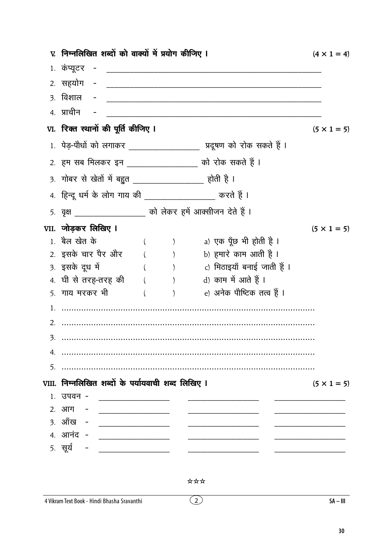|    | V. निम्नलिखित शब्दों को वाक्यों में प्रयोग कीजिए I                                                                                                                                                                                                  |         |                                                                       | $(4 \times 1 = 4)$ |
|----|-----------------------------------------------------------------------------------------------------------------------------------------------------------------------------------------------------------------------------------------------------|---------|-----------------------------------------------------------------------|--------------------|
|    | 1. कंप्यूटर<br><u>in the community of the community of the community of the community of the community of the community of the community of the community of the community of the community of the community of the community of the community </u> |         |                                                                       |                    |
|    | 2. सहयोग                                                                                                                                                                                                                                            |         |                                                                       |                    |
|    | <u>3. विशाल   -</u>                                                                                                                                                                                                                                 |         |                                                                       |                    |
|    | 4. प्राचीन                                                                                                                                                                                                                                          |         |                                                                       |                    |
|    | VI. रिक्त स्थानों की पूर्ति कीजिए I                                                                                                                                                                                                                 |         |                                                                       | $(5 \times 1 = 5)$ |
|    |                                                                                                                                                                                                                                                     |         | 1. पेड़-पौधों को लगाकर ____________________ प्रदूषण को रोक सकते हैं । |                    |
|    | 2. हम सब मिलकर इन __________________ को रोक सकते हैं ।                                                                                                                                                                                              |         |                                                                       |                    |
|    | <u>3. गोबर से खेतों में बहुत __________________</u> होती है ।                                                                                                                                                                                       |         |                                                                       |                    |
|    | 4. हिन्दू धर्म के लोग गाय की __________________ करते हैं ।                                                                                                                                                                                          |         |                                                                       |                    |
|    | 5. वृक्ष ____________________ को लेकर हमें आक्सीजन देते हैं ।                                                                                                                                                                                       |         |                                                                       |                    |
|    | VII. जोड़कर लिखिए I                                                                                                                                                                                                                                 |         |                                                                       | $(5 \times 1 = 5)$ |
|    | 1. बैल खेत के                                                                                                                                                                                                                                       |         | <sub>a)</sub> एक पूँछ भी होती है ।                                    |                    |
|    |                                                                                                                                                                                                                                                     |         | 2. इसके चार पैर और        (          )          b) हमारे काम आती है । |                    |
|    | 3. इसके दूध में                                                                                                                                                                                                                                     |         | ( )            c) मिठाइयाँ बनाई जाती हैं ।                            |                    |
|    | 4. घी से तरह-तरह की $($ ) $)$ d) काम में आते हैं I                                                                                                                                                                                                  |         |                                                                       |                    |
|    | 5. गाय मरकर भी                                                                                                                                                                                                                                      | $($ $)$ | e) अनेक पौष्टिक तत्व हैं ।                                            |                    |
|    |                                                                                                                                                                                                                                                     |         |                                                                       |                    |
|    |                                                                                                                                                                                                                                                     |         |                                                                       |                    |
| 3. |                                                                                                                                                                                                                                                     |         |                                                                       |                    |
|    |                                                                                                                                                                                                                                                     |         |                                                                       |                    |
| 5. |                                                                                                                                                                                                                                                     |         |                                                                       |                    |
|    | VIII. निम्नलिखित शब्दों के पर्यायवाची शब्द लिखिए ।                                                                                                                                                                                                  |         |                                                                       | $(5 \times 1 = 5)$ |
|    | 1. उपवन -                                                                                                                                                                                                                                           |         |                                                                       |                    |
|    | 2. आग -                                                                                                                                                                                                                                             |         |                                                                       |                    |
|    | 3. ऑंख - ________________                                                                                                                                                                                                                           |         |                                                                       |                    |
|    |                                                                                                                                                                                                                                                     |         |                                                                       |                    |
|    | <u>5. सूर्य - _______________</u>                                                                                                                                                                                                                   |         |                                                                       |                    |

 $\odot$